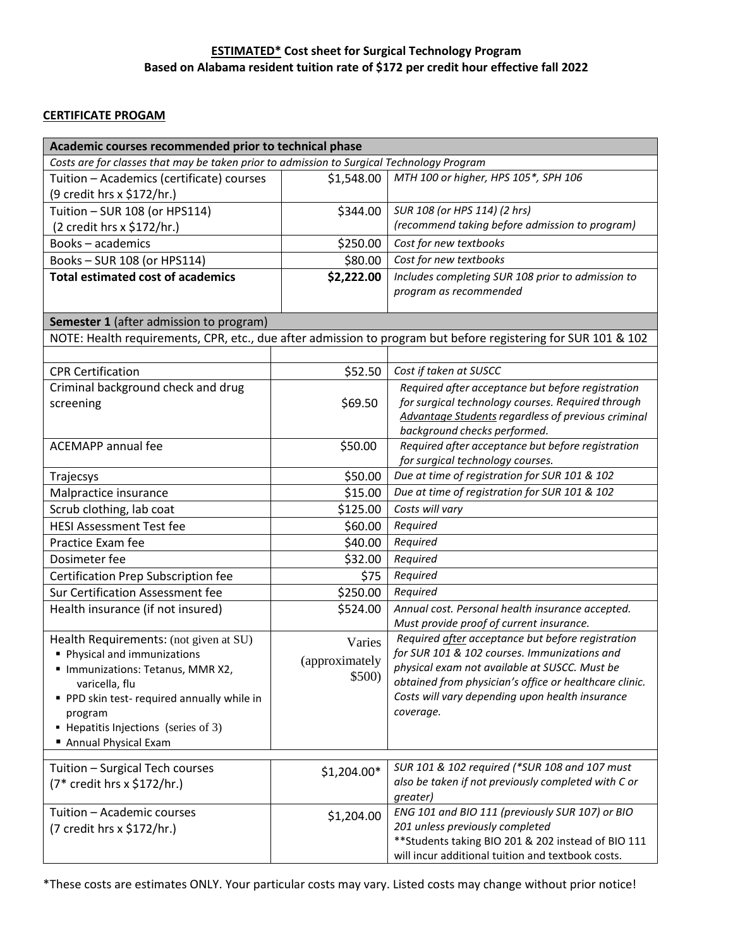## **ESTIMATED\* Cost sheet for Surgical Technology Program Based on Alabama resident tuition rate of \$172 per credit hour effective fall 2022**

## **CERTIFICATE PROGAM**

| Academic courses recommended prior to technical phase                                     |                |                                                                                                               |  |  |
|-------------------------------------------------------------------------------------------|----------------|---------------------------------------------------------------------------------------------------------------|--|--|
| Costs are for classes that may be taken prior to admission to Surgical Technology Program |                |                                                                                                               |  |  |
| Tuition - Academics (certificate) courses                                                 | \$1,548.00     | MTH 100 or higher, HPS 105*, SPH 106                                                                          |  |  |
| (9 credit hrs x \$172/hr.)                                                                |                |                                                                                                               |  |  |
| Tuition - SUR 108 (or HPS114)                                                             | \$344.00       | SUR 108 (or HPS 114) (2 hrs)                                                                                  |  |  |
| (2 credit hrs x \$172/hr.)                                                                |                | (recommend taking before admission to program)                                                                |  |  |
| <b>Books-academics</b>                                                                    | \$250.00       | Cost for new textbooks                                                                                        |  |  |
| Books-SUR 108 (or HPS114)                                                                 | \$80.00        | Cost for new textbooks                                                                                        |  |  |
| <b>Total estimated cost of academics</b>                                                  | \$2,222.00     | Includes completing SUR 108 prior to admission to<br>program as recommended                                   |  |  |
|                                                                                           |                |                                                                                                               |  |  |
| <b>Semester 1</b> (after admission to program)                                            |                |                                                                                                               |  |  |
|                                                                                           |                | NOTE: Health requirements, CPR, etc., due after admission to program but before registering for SUR 101 & 102 |  |  |
| <b>CPR Certification</b>                                                                  | \$52.50        | Cost if taken at SUSCC                                                                                        |  |  |
| Criminal background check and drug                                                        |                | Required after acceptance but before registration                                                             |  |  |
| screening                                                                                 | \$69.50        | for surgical technology courses. Required through<br>Advantage Students regardless of previous criminal       |  |  |
|                                                                                           |                | background checks performed.                                                                                  |  |  |
| <b>ACEMAPP</b> annual fee                                                                 | \$50.00        | Required after acceptance but before registration                                                             |  |  |
|                                                                                           |                | for surgical technology courses.                                                                              |  |  |
| Trajecsys                                                                                 | \$50.00        | Due at time of registration for SUR 101 & 102                                                                 |  |  |
| Malpractice insurance                                                                     | \$15.00        | Due at time of registration for SUR 101 & 102                                                                 |  |  |
| Scrub clothing, lab coat                                                                  | \$125.00       | Costs will vary                                                                                               |  |  |
| <b>HESI Assessment Test fee</b>                                                           | \$60.00        | Required                                                                                                      |  |  |
| Practice Exam fee                                                                         | \$40.00        | Required                                                                                                      |  |  |
| Dosimeter fee                                                                             | \$32.00        | Required                                                                                                      |  |  |
| Certification Prep Subscription fee                                                       | \$75           | Required                                                                                                      |  |  |
| Sur Certification Assessment fee                                                          | \$250.00       | Required                                                                                                      |  |  |
| Health insurance (if not insured)                                                         | \$524.00       | Annual cost. Personal health insurance accepted.                                                              |  |  |
|                                                                                           |                | Must provide proof of current insurance.                                                                      |  |  |
| Health Requirements: (not given at SU)                                                    | Varies         | Required after acceptance but before registration                                                             |  |  |
| Physical and immunizations                                                                | (approximately | for SUR 101 & 102 courses. Immunizations and<br>physical exam not available at SUSCC. Must be                 |  |  |
| " Immunizations: Tetanus, MMR X2,                                                         | \$500)         | obtained from physician's office or healthcare clinic.                                                        |  |  |
| varicella, flu<br>PPD skin test-required annually while in                                |                | Costs will vary depending upon health insurance                                                               |  |  |
| program                                                                                   |                | coverage.                                                                                                     |  |  |
| • Hepatitis Injections (series of 3)                                                      |                |                                                                                                               |  |  |
| Annual Physical Exam                                                                      |                |                                                                                                               |  |  |
|                                                                                           |                |                                                                                                               |  |  |
| Tuition - Surgical Tech courses                                                           | \$1,204.00*    | SUR 101 & 102 required (*SUR 108 and 107 must<br>also be taken if not previously completed with C or          |  |  |
| (7* credit hrs x \$172/hr.)                                                               |                | greater)                                                                                                      |  |  |
| Tuition - Academic courses                                                                | \$1,204.00     | ENG 101 and BIO 111 (previously SUR 107) or BIO                                                               |  |  |
| (7 credit hrs x \$172/hr.)                                                                |                | 201 unless previously completed                                                                               |  |  |
|                                                                                           |                | ** Students taking BIO 201 & 202 instead of BIO 111                                                           |  |  |
|                                                                                           |                | will incur additional tuition and textbook costs.                                                             |  |  |

\*These costs are estimates ONLY. Your particular costs may vary. Listed costs may change without prior notice!